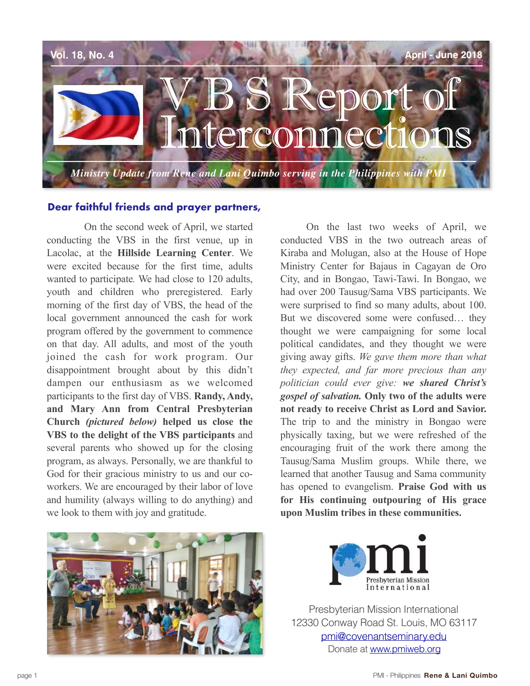

## **Dear faithful friends and prayer partners,**

 On the second week of April, we started conducting the VBS in the first venue, up in Lacolac, at the **Hillside Learning Center**. We were excited because for the first time, adults wanted to participate*.* We had close to 120 adults, youth and children who preregistered. Early morning of the first day of VBS, the head of the local government announced the cash for work program offered by the government to commence on that day. All adults, and most of the youth joined the cash for work program. Our disappointment brought about by this didn't dampen our enthusiasm as we welcomed participants to the first day of VBS. **Randy, Andy, and Mary Ann from Central Presbyterian Church** *(pictured below)* **helped us close the VBS to the delight of the VBS participants** and several parents who showed up for the closing program, as always. Personally, we are thankful to God for their gracious ministry to us and our coworkers. We are encouraged by their labor of love and humility (always willing to do anything) and we look to them with joy and gratitude.

On the last two weeks of April, we conducted VBS in the two outreach areas of Kiraba and Molugan, also at the House of Hope Ministry Center for Bajaus in Cagayan de Oro City, and in Bongao, Tawi-Tawi. In Bongao, we had over 200 Tausug/Sama VBS participants. We were surprised to find so many adults, about 100. But we discovered some were confused… they thought we were campaigning for some local political candidates, and they thought we were giving away gifts. *We gave them more than what they expected, and far more precious than any politician could ever give: we shared Christ's gospel of salvation.* **Only two of the adults were not ready to receive Christ as Lord and Savior.** The trip to and the ministry in Bongao were physically taxing, but we were refreshed of the encouraging fruit of the work there among the Tausug/Sama Muslim groups. While there, we learned that another Tausug and Sama community has opened to evangelism. **Praise God with us for His continuing outpouring of His grace upon Muslim tribes in these communities.** 



Presbyterian Mission International 12330 Conway Road St. Louis, MO 63117 [pmi@covenantseminary.edu](mailto:pmi@covenantseminary.edu) Donate at [www.pmiweb.org](http://www.pmiweb.org)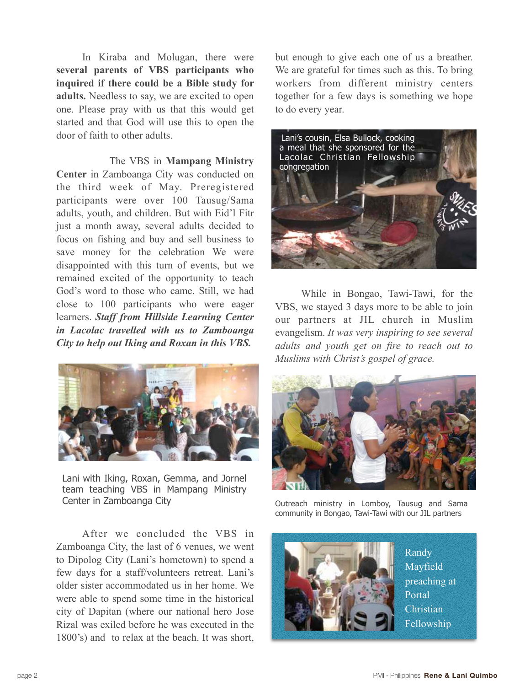In Kiraba and Molugan, there were **several parents of VBS participants who inquired if there could be a Bible study for adults.** Needless to say, we are excited to open one. Please pray with us that this would get started and that God will use this to open the door of faith to other adults.

 The VBS in **Mampang Ministry Center** in Zamboanga City was conducted on the third week of May. Preregistered participants were over 100 Tausug/Sama adults, youth, and children. But with Eid'l Fitr just a month away, several adults decided to focus on fishing and buy and sell business to save money for the celebration We were disappointed with this turn of events, but we remained excited of the opportunity to teach God's word to those who came. Still, we had close to 100 participants who were eager learners. *Staff from Hillside Learning Center in Lacolac travelled with us to Zamboanga City to help out Iking and Roxan in this VBS.* 



Lani with Iking, Roxan, Gemma, and Jornel team teaching VBS in Mampang Ministry Center in Zamboanga City

After we concluded the VBS in Zamboanga City, the last of 6 venues, we went to Dipolog City (Lani's hometown) to spend a few days for a staff/volunteers retreat. Lani's older sister accommodated us in her home. We were able to spend some time in the historical city of Dapitan (where our national hero Jose Rizal was exiled before he was executed in the 1800's) and to relax at the beach. It was short,

but enough to give each one of us a breather. We are grateful for times such as this. To bring workers from different ministry centers together for a few days is something we hope to do every year.



While in Bongao, Tawi-Tawi, for the VBS, we stayed 3 days more to be able to join our partners at JIL church in Muslim evangelism. *It was very inspiring to see several adults and youth get on fire to reach out to Muslims with Christ's gospel of grace.* 



Outreach ministry in Lomboy, Tausug and Sama community in Bongao, Tawi-Tawi with our JIL partners